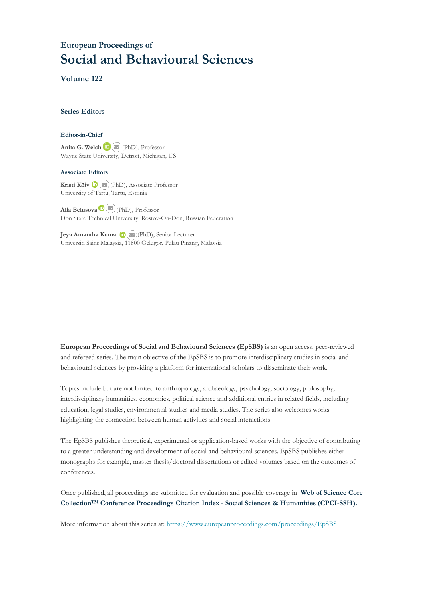# **European Proceedings of Social and Behavioural Sciences**

**Volume 122**

#### **Series Editors**

#### **Editor-in-Chief**

**Anita G. Welch** (PhD), Professor Wayne State University, Detroit, Michigan, US

#### **Associate Editors**

**Kristi Köiv** (PhD), Associate Professor University of Tartu, Tartu, Estonia

**Alla Belusova**(PhD), Professor Don State Technical University, Rostov-On-Don, Russian Federation

**Jeya Amantha Kumar**(PhD), Senior Lecturer Universiti Sains Malaysia, [1180](mailto:amantha@usm.my)0 Gelugor, Pulau Pinang, Malaysia

**European Proceedings of Social and Behavioural Sciences (EpSBS)** is an open access, peer-reviewed and refereed series. The main objective of the EpSBS is to promote interdisciplinary studies in social and behavioural sciences by providing a platform for international scholars to disseminate their work.

Topics include but are not limited to anthropology, archaeology, psychology, sociology, philosophy, interdisciplinary humanities, economics, political science and additional entries in related fields, including education, legal studies, environmental studies and media studies. The series also welcomes works highlighting the connection between human activities and social interactions.

The EpSBS publishes theoretical, experimental or application-based works with the objective of contributing to a greater understanding and development of social and behavioural sciences. EpSBS publishes either monographs for example, master thesis/doctoral dissertations or edited volumes based on the outcomes of conferences.

Once published, all proceedings are submitted for evaluation and possible coverage in **Web of [Science](https://clarivate.com/webofsciencegroup/solutions/webofscience-cpci/) Core Collection™ Conference Proceedings Citation Index - Social Sciences & Humanities [\(CPCI-SSH\).](https://clarivate.com/webofsciencegroup/solutions/webofscience-cpci/)**

More information about this series at[: https://www.europeanproceedings.com/proceedings/EpSBS](https://www.europeanproceedings.com/proceedings/EpSBS)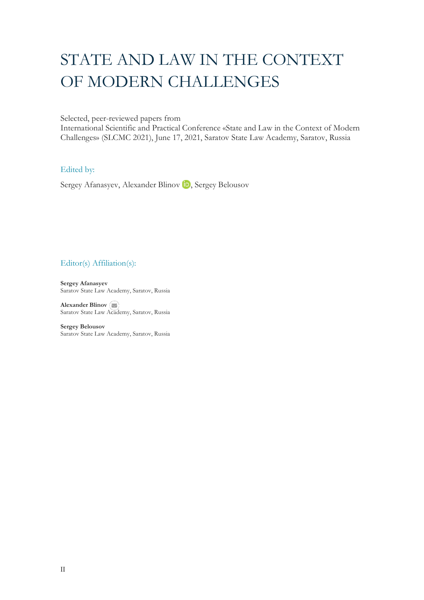# STATE AND LAW IN THE CONTEXT OF MODERN CHALLENGES

Selected, peer-reviewed papers from

International Scientific and Practical Conference «State and Law in the Context of Modern Challenges» (SLCMC 2021), June 17, 2021, Saratov State Law Academy, Saratov, Russia

#### Edited by:

Sergey Afanasyev, Alexander Blinov **D**, Sergey Belousov

### Editor(s) Affiliation(s):

**Sergey Afanasyev** Saratov State Law Academy, Saratov, Russia

**Alexander Blinov** Saratov State Law [Acade](mailto:blinovag2008@yandex.ru)my, Saratov, Russia

**Sergey Belousov**  Saratov State Law Academy, Saratov, Russia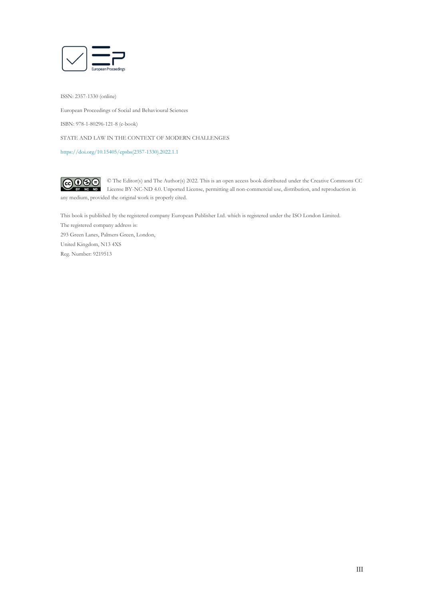

ISSN: 2357-1330 (online)

European Proceedings of Social and Behavioural Sciences

ISBN: 978-1-80296-121-8 (e-book)

STATE AND LAW IN THE CONTEXT OF MODERN CHALLENGES

[https://doi.org/10.15405/epsbs\(2357-1330\).2022.1.1](https://doi.org/10.15405/epsbs(2357-1330).2022.1.1)

 $\overline{G}$   $\overline{O}$   $\overline{O}$ © The Editor(s) and The Author(s) 2022. This is an open access book distributed under the Creative Commons CC License BY-NC-ND 4.0. Unported License, permitting all non-commercial use, distribution, and reproduction in  $\overline{ND}$ any medium, provided the original work is properly cited.

This book is published by the registered company European Publisher Ltd. which is registered under the ISO London Limited. The registered company address is: 293 Green Lanes, Palmers Green, London, United Kingdom, N13 4XS Reg. Number: 9219513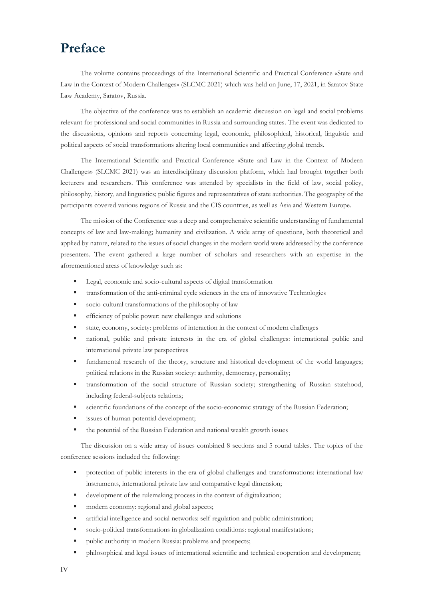# **Preface**

The volume contains proceedings of the International Scientific and Practical Conference «State and Law in the Context of Modern Challenges» (SLCMC 2021) which was held on June, 17, 2021, in Saratov State Law Academy, Saratov, Russia.

The objective of the conference was to establish an academic discussion on legal and social problems relevant for professional and social communities in Russia and surrounding states. The event was dedicated to the discussions, opinions and reports concerning legal, economic, philosophical, historical, linguistic and political aspects of social transformations altering local communities and affecting global trends.

The International Scientific and Practical Conference «State and Law in the Context of Modern Challenges» (SLCMC 2021) was an interdisciplinary discussion platform, which had brought together both lecturers and researchers. This conference was attended by specialists in the field of law, social policy, philosophy, history, and linguistics; public figures and representatives of state authorities. The geography of the participants covered various regions of Russia and the CIS countries, as well as Asia and Western Europe.

The mission of the Conference was a deep and comprehensive scientific understanding of fundamental concepts of law and law-making; humanity and civilization. A wide array of questions, both theoretical and applied by nature, related to the issues of social changes in the modern world were addressed by the conference presenters. The event gathered a large number of scholars and researchers with an expertise in the aforementioned areas of knowledge such as:

- Legal, economic and socio-cultural aspects of digital transformation
- transformation of the anti-criminal cycle sciences in the era of innovative Technologies
- socio-cultural transformations of the philosophy of law
- **•** efficiency of public power: new challenges and solutions
- state, economy, society: problems of interaction in the context of modern challenges
- national, public and private interests in the era of global challenges: international public and international private law perspectives
- fundamental research of the theory, structure and historical development of the world languages; political relations in the Russian society: authority, democracy, personality;
- transformation of the social structure of Russian society; strengthening of Russian statehood, including federal-subjects relations;
- scientific foundations of the concept of the socio-economic strategy of the Russian Federation;
- issues of human potential development;
- the potential of the Russian Federation and national wealth growth issues

The discussion on a wide array of issues combined 8 sections and 5 round tables. The topics of the conference sessions included the following:

- protection of public interests in the era of global challenges and transformations: international law instruments, international private law and comparative legal dimension;
- development of the rulemaking process in the context of digitalization;
- modern economy: regional and global aspects;
- artificial intelligence and social networks: self-regulation and public administration;
- socio-political transformations in globalization conditions: regional manifestations;
- public authority in modern Russia: problems and prospects;
- philosophical and legal issues of international scientific and technical cooperation and development;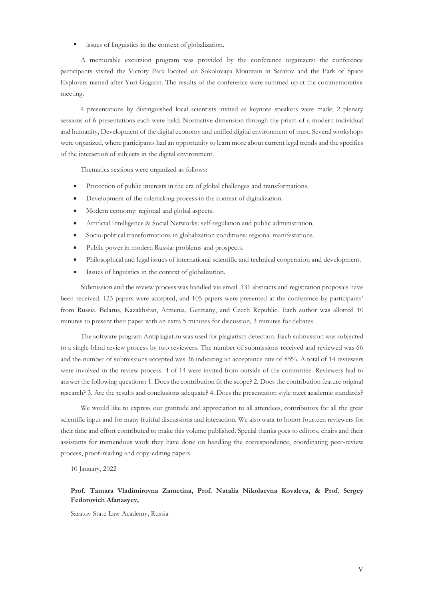■ issues of linguistics in the context of globalization.

A memorable excursion program was provided by the conference organizers: the conference participants visited the Victory Park located on Sokolovaya Mountain in Saratov and the Park of Space Explorers named after Yuri Gagarin. The results of the conference were summed up at the commemorative meeting.

4 presentations by distinguished local scientists invited as keynote speakers were made; 2 plenary sessions of 6 presentations each were held: Normative dimension through the prism of a modern individual and humanity, Development of the digital economy and unified digital environment of trust. Several workshops were organized, where participants had an opportunity to learn more about current legal trends and the specifics of the interaction of subjects in the digital environment.

Thematics sessions were organized as follows:

- Protection of public interests in the era of global challenges and transformations.
- Development of the rulemaking process in the context of digitalization.
- Modern economy: regional and global aspects.
- Artificial Intelligence & Social Networks: self-regulation and public administration.
- Socio-political transformations in globalization conditions: regional manifestations.
- Public power in modern Russia: problems and prospects.
- Philosophical and legal issues of international scientific and technical cooperation and development.
- Issues of linguistics in the context of globalization.

Submission and the review process was handled via email. 131 abstracts and registration proposals have been received. 123 papers were accepted, and 105 papers were presented at the conference by participants' from Russia, Belarus, Kazakhstan, Armenia, Germany, and Czech Republic. Each author was allotted 10 minutes to present their paper with an extra 5 minutes for discussion, 3 minutes for debates.

The software program Antiplagiat.ru was used for plagiarism detection. Each submission was subjected to a single-blind review process by two reviewers. The number of submissions received and reviewed was 66 and the number of submissions accepted was 36 indicating an acceptance rate of 85%. A total of 14 reviewers were involved in the review process. 4 of 14 were invited from outside of the committee. Reviewers had to answer the following questions: 1. Does the contribution fit the scope? 2. Does the contribution feature original research? 3. Are the results and conclusions adequate? 4. Does the presentation style meet academic standards?

We would like to express our gratitude and appreciation to all attendees, contributors for all the great scientific input and for many fruitful discussions and interaction. We also want to honor fourteen reviewers for their time and effort contributed to make this volume published. Special thanks goes to editors, chairs and their assistants for tremendous work they have done on handling the correspondence, coordinating peer-review process, proof-reading and copy-editing papers.

10 January, 2022

#### **Prof. Tamara Vladimirovna Zametina, Prof. Natalia Nikolaevna Kovaleva, & Prof. Sergey Fedorovich Afanasyev,**

Saratov State Law Academy, Russia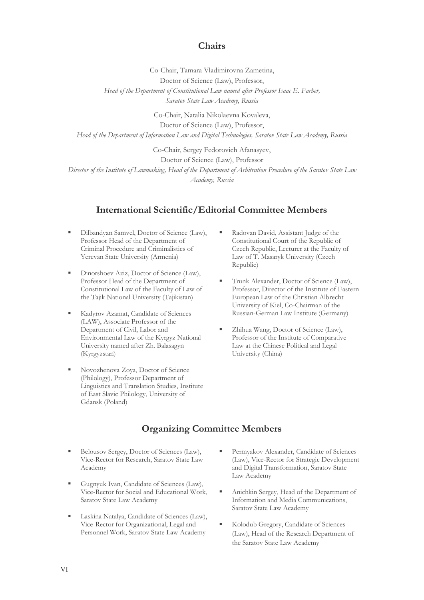### **Chairs**

Co-Chair, Tamara Vladimirovna Zametina, Doctor of Science (Law), Professor, *Head of the Department of Constitutional Law named after Professor Isaac E. Farber, Saratov State Law Academy, Russia*

Co-Chair, Natalia Nikolaevna Kovaleva,

Doctor of Science (Law), Professor,

*Head of the Department of Information Law and Digital Technologies, Saratov State Law Academy, Russia*

Co-Chair, Sergey Fedorovich Afanasyev,

Doctor of Science (Law), Professor

*Director of the Institute of Lawmaking, Head of the Department of Arbitration Procedure of the Saratov State Law Academy, Russia*

### **International Scientific/Editorial Committee Members**

- Dilbandyan Samvel, Doctor of Science (Law), Professor Head of the Department of Criminal Procedure and Criminalistics of Yerevan State University (Armenia)
- Dinorshoev Aziz, Doctor of Science (Law), Professor Head of the Department of Constitutional Law of the Faculty of Law of the Tajik National University (Tajikistan)
- Kadyrov Azamat, Candidate of Sciences (LAW), Associate Professor of the Department of Civil, Labor and Environmental Law of the Kyrgyz National University named after Zh. Balasagyn (Kyrgyzstan)
- Novozhenova Zoya, Doctor of Science (Philology), Professor Department of Linguistics and Translation Studies, Institute of East Slavic Philology, University of Gdansk (Poland)
- Radovan David, Assistant Judge of the Constitutional Court of the Republic of Czech Republic, Lecturer at the Faculty of Law of T. Masaryk University (Czech Republic)
- Trunk Alexander, Doctor of Science (Law), Professor, Director of the Institute of Eastern European Law of the Christian Albrecht University of Kiel, Co-Chairman of the Russian-German Law Institute (Germany)
- Zhihua Wang, Doctor of Science (Law), Professor of the Institute of Comparative Law at the Chinese Political and Legal University (China)

# **Organizing Committee Members**

- Belousov Sergey, Doctor of Sciences (Law), Vice-Rector for Research, Saratov State Law Academy
- Gugnyuk Ivan, Candidate of Sciences (Law), Vice-Rector for Social and Educational Work, Saratov State Law Academy
- Laskina Natalya, Candidate of Sciences (Law), Vice-Rector for Organizational, Legal and Personnel Work, Saratov State Law Academy
- Permyakov Alexander, Candidate of Sciences (Law), Vice-Rector for Strategic Development and Digital Transformation, Saratov State Law Academy
- Anichkin Sergey, Head of the Department of Information and Media Communications, Saratov State Law Academy
- Kolodub Gregory, Candidate of Sciences (Law), Head of the Research Department of the Saratov State Law Academy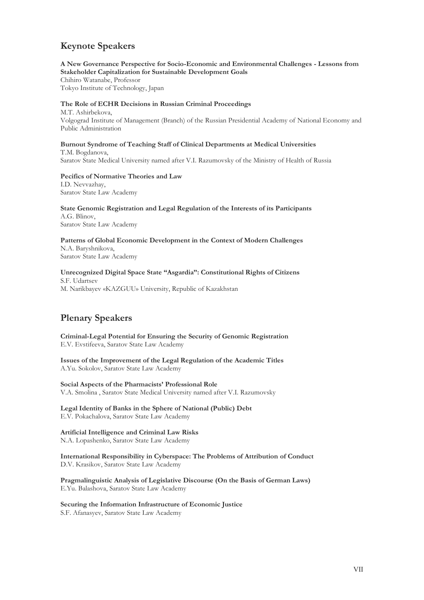# **Keynote Speakers**

**A New Governance Perspective for Socio-Economic and Environmental Challenges - Lessons from Stakeholder Capitalization for Sustainable Development Goals** Chihiro Watanabe, Professor Tokyo Institute of Technology, Japan

#### **The Role of ECHR Decisions in Russian Criminal Proceedings**

M.T. Ashirbekova, Volgograd Institute of Management (Branch) of the Russian Presidential Academy of National Economy and Public Administration

**Burnout Syndrome of Teaching Staff of Clinical Departments at Medical Universities** T.M. Bogdanova, Saratov State Medical University named after V.I. Razumovsky of the Ministry of Health of Russia

**Pecifics of Normative Theories and Law** I.D. Nevvazhay, Saratov State Law Academy

**State Genomic Registration and Legal Regulation of the Interests of its Participants** A.G. Blinov, Saratov State Law Academy

**Patterns of Global Economic Development in the Context of Modern Challenges** N.A. Baryshnikova, Saratov State Law Academy

**Unrecognized Digital Space State "Asgardia": Constitutional Rights of Citizens**  S.F. Udartsev M. Narikbayev «KAZGUU» University, Republic of Kazakhstan

# **Plenary Speakers**

**Criminal-Legal Potential for Ensuring the Security of Genomic Registration** E.V. Evstifeeva, Saratov State Law Academy

**Issues of the Improvement of the Legal Regulation of the Academic Titles**  A.Yu. Sokolov, Saratov State Law Academy

**Social Aspects of the Pharmacists' Professional Role**  V.A. Smolina , Saratov State Medical University named after V.I. Razumovsky

**Legal Identity of Banks in the Sphere of National (Public) Debt**  E.V. Pokachalova, Saratov State Law Academy

**Artificial Intelligence and Criminal Law Risks** N.A. Lopashenko, Saratov State Law Academy

**International Responsibility in Cyberspace: The Problems of Attribution of Conduct**  D.V. Krasikov, Saratov State Law Academy

**Pragmalinguistic Analysis of Legislative Discourse (On the Basis of German Laws)** E.Yu. Balashova, Saratov State Law Academy

**Securing the Information Infrastructure of Economic Justice** 

S.F. Afanasyev, Saratov State Law Academy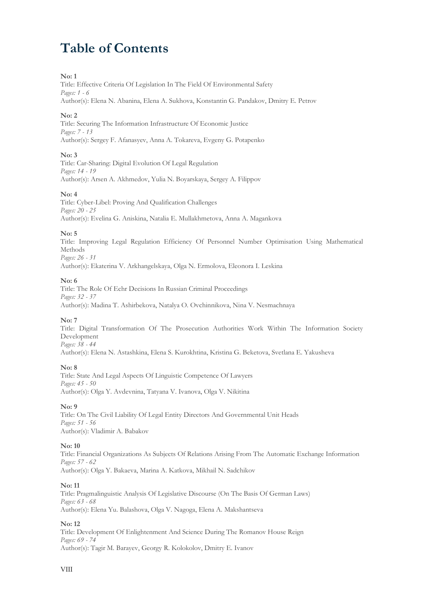# **Table of Contents**

#### **No: 1**

Title: Effective Criteria Of Legislation In The Field Of Environmental Safety *Pages: 1 - 6* Author(s): Elena N. Abanina, Elena A. Sukhova, Konstantin G. Pandakov, Dmitry E. Petrov

#### **No: 2**

Title: Securing The Information Infrastructure Of Economic Justice *Pages: 7 - 13* Author(s): Sergey F. Afanasyev, Anna A. Tokareva, Evgeny G. Potapenko

#### **No: 3**

Title: Car-Sharing: Digital Evolution Of Legal Regulation *Pages: 14 - 19* Author(s): Arsen A. Akhmedov, Yulia N. Boyarskaya, Sergey A. Filippov

#### **No: 4**

Title: Cyber-Libel: Proving And Qualification Challenges *Pages: 20 - 25* Author(s): Evelina G. Aniskina, Natalia E. Mullakhmetova, Anna A. Magankova

#### **No: 5**

Title: Improving Legal Regulation Efficiency Of Personnel Number Optimisation Using Mathematical Methods *Pages: 26 - 31* Author(s): Ekaterina V. Arkhangelskaya, Olga N. Ermolova, Eleonora I. Leskina

#### **No: 6**

Title: The Role Of Echr Decisions In Russian Criminal Proceedings *Pages: 32 - 37* Author(s): Madina T. Ashirbekova, Natalya O. Ovchinnikova, Nina V. Nesmachnaya

#### **No: 7**

Title: Digital Transformation Of The Prosecution Authorities Work Within The Information Society Development *Pages: 38 - 44*

Author(s): Elena N. Astashkina, Elena S. Kurokhtina, Kristina G. Beketova, Svetlana E. Yakusheva

#### **No: 8**

Title: State And Legal Aspects Of Linguistic Competence Of Lawyers *Pages: 45 - 50* Author(s): Olga Y. Avdevnina, Tatyana V. Ivanova, Olga V. Nikitina

#### **No: 9**

Title: On The Civil Liability Of Legal Entity Directors And Governmental Unit Heads *Pages: 51 - 56* Author(s): Vladimir A. Babakov

#### **No: 10**

Title: Financial Organizations As Subjects Of Relations Arising From The Automatic Exchange Information *Pages: 57 - 62* Author(s): Olga Y. Bakaeva, Marina A. Katkova, Mikhail N. Sadchikov

#### **No: 11**

Title: Pragmalinguistic Analysis Of Legislative Discourse (On The Basis Of German Laws) *Pages: 63 - 68* Author(s): Elena Yu. Balashova, Olga V. Nagoga, Elena A. Makshantseva

#### **No: 12**

Title: Development Of Enlightenment And Science During The Romanov House Reign *Pages: 69 - 74* Author(s): Tagir M. Barayev, Georgy R. Kolokolov, Dmitry E. Ivanov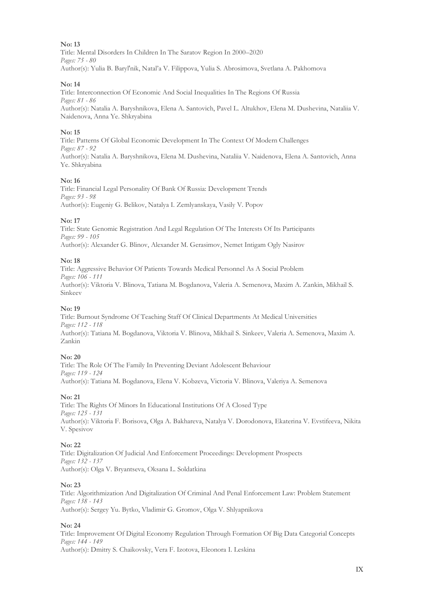Title: Mental Disorders In Children In The Saratov Region In 2000–2020 *Pages: 75 - 80* Author(s): Yulia B. Baryl'nik, Natal'a V. Filippova, Yulia S. Abrosimova, Svetlana A. Pakhomova

#### **No: 14**

Title: Interconnection Of Economic And Social Inequalities In The Regions Of Russia *Pages: 81 - 86* Author(s): Natalia A. Baryshnikova, Elena A. Santovich, Pavel L. Altukhov, Elena M. Dushevina, Nataliia V. Naidenova, Anna Ye. Shkryabina

#### **No: 15**

Title: Patterns Of Global Economic Development In The Context Of Modern Challenges *Pages: 87 - 92* Author(s): Natalia A. Baryshnikova, Elena M. Dushevina, Nataliia V. Naidenova, Elena A. Santovich, Anna Ye. Shkryabina

#### **No: 16**

Title: Financial Legal Personality Of Bank Of Russia: Development Trends *Pages: 93 - 98* Author(s): Eugeniy G. Belikov, Natalya I. Zemlyanskaya, Vasily V. Popov

#### **No: 17**

Title: State Genomic Registration And Legal Regulation Of The Interests Of Its Participants *Pages: 99 - 105* Author(s): Alexander G. Blinov, Alexander M. Gerasimov, Nemet Intigam Ogly Nasirov

#### **No: 18**

Title: Aggressive Behavior Of Patients Towards Medical Personnel As A Social Problem *Pages: 106 - 111* Author(s): Viktoria V. Blinova, Tatiana M. Bogdanova, Valeria A. Semenova, Maxim A. Zankin, Mikhail S. Sinkeev

#### **No: 19**

Title: Burnout Syndrome Of Teaching Staff Of Clinical Departments At Medical Universities *Pages: 112 - 118* Author(s): Tatiana M. Bogdanova, Viktoria V. Blinova, Mikhail S. Sinkeev, Valeria A. Semenova, Maxim A. Zankin

#### **No: 20**

Title: The Role Of The Family In Preventing Deviant Adolescent Behaviour *Pages: 119 - 124* Author(s): Tatiana M. Bogdanova, Elena V. Kobzeva, Victoria V. Blinova, Valeriya A. Semenova

#### **No: 21**

Title: The Rights Of Minors In Educational Institutions Of A Closed Type *Pages: 125 - 131* Author(s): Viktoria F. Borisova, Olga A. Bakhareva, Natalya V. Dorodonova, Ekaterina V. Evstifeeva, Nikita V. Spesivov

#### **No: 22**

Title: Digitalization Of Judicial And Enforcement Proceedings: Development Prospects *Pages: 132 - 137* Author(s): Olga V. Bryantseva, Oksana L. Soldatkina

#### **No: 23**

Title: Algorithmization And Digitalization Of Criminal And Penal Enforcement Law: Problem Statement *Pages: 138 - 143* Author(s): Sergey Yu. Bytko, Vladimir G. Gromov, Olga V. Shlyapnikova

#### **No: 24**

Title: Improvement Of Digital Economy Regulation Through Formation Of Big Data Categorial Concepts *Pages: 144 - 149* Author(s): Dmitry S. Chaikovsky, Vera F. Izotova, Eleonora I. Leskina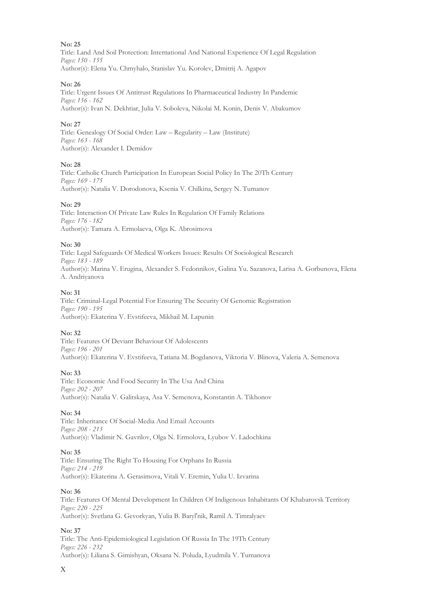Title: Land And Soil Protection: International And National Experience Of Legal Regulation *Pages: 150 - 155* Author(s): Elena Yu. Chmyhalo, Stanislav Yu. Korolev, Dmitrij A. Agapov

#### **No: 26**

Title: Urgent Issues Of Antitrust Regulations In Pharmaceutical Industry In Pandemic *Pages: 156 - 162* Author(s): Ivan N. Dekhtiar, Julia V. Soboleva, Nikolai M. Konin, Denis V. Abakumov

#### **No: 27**

Title: Genealogy Of Social Order: Law – Regularity – Law (Institute) *Pages: 163 - 168* Author(s): Alexander I. Demidov

#### **No: 28**

Title: Catholic Church Participation In European Social Policy In The 20Th Century *Pages: 169 - 175* Author(s): Natalia V. Dorodonova, Ksenia V. Chilkina, Sergey N. Tumanov

#### **No: 29**

Title: Interaction Of Private Law Rules In Regulation Of Family Relations *Pages: 176 - 182* Author(s): Tamara A. Ermolaeva, Olga K. Abrosimova

#### **No: 30**

Title: Legal Safeguards Of Medical Workers Issues: Results Of Sociological Research *Pages: 183 - 189* Author(s): Marina V. Erugina, Alexander S. Fedonnikov, Galina Yu. Sazanova, Larisa A. Gorbunova, Elena A. Andriyanova

#### **No: 31**

Title: Criminal-Legal Potential For Ensuring The Security Of Genomic Registration *Pages: 190 - 195* Author(s): Ekaterina V. Evstifeeva, Mikhail M. Lapunin

#### **No: 32**

Title: Features Of Deviant Behaviour Of Adolescents *Pages: 196 - 201* Author(s): Ekaterina V. Evstifeeva, Tatiana M. Bogdanova, Viktoria V. Blinova, Valeria A. Semenova

#### **No: 33**

Title: Economic And Food Security In The Usa And China *Pages: 202 - 207* Author(s): Natalia V. Galitskaya, Asa V. Semenova, Konstantin A. Tikhonov

#### **No: 34**

Title: Inheritance Of Social-Media And Email Accounts *Pages: 208 - 213* Author(s): Vladimir N. Gavrilov, Olga N. Ermolova, Lyubov V. Ladochkina

#### **No: 35**

Title: Ensuring The Right To Housing For Orphans In Russia *Pages: 214 - 219* Author(s): Ekaterina A. Gerasimova, Vitali V. Eremin, Yulia U. Izvarina

#### **No: 36**

Title: Features Of Mental Development In Children Of Indigenous Inhabitants Of Khabarovsk Territory *Pages: 220 - 225* Author(s): Svetlana G. Gevorkyan, Yulia B. Baryl'nik, Ramil A. Timralyaev

#### **No: 37**

Title: The Anti-Epidemiological Legislation Of Russia In The 19Th Century *Pages: 226 - 232* Author(s): Liliana S. Gimishyan, Oksana N. Poluda, Lyudmila V. Tumanova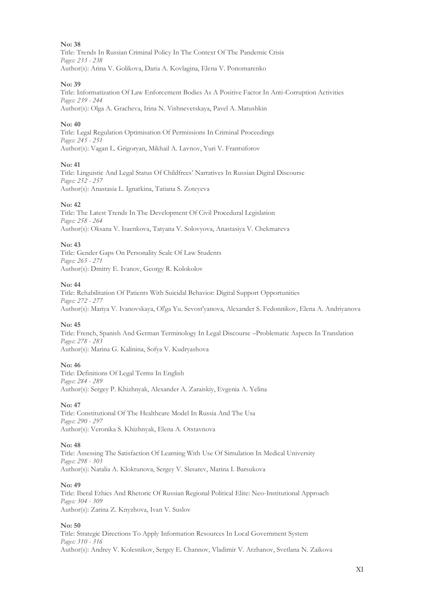Title: Trends In Russian Criminal Policy In The Context Of The Pandemic Crisis *Pages: 233 - 238* Author(s): Arina V. Gоlikova, Daria A. Kovlagina, Elena V. Ponomarenko

#### **No: 39**

Title: Informatization Of Law Enforcement Bodies As A Positive Factor In Anti-Corruption Activities *Pages: 239 - 244* Author(s): Olga А. Gracheva, Irina N. Vishnevetskaya, Pavel A. Matushkin

#### **No: 40**

Title: Legal Regulation Optimisation Of Permissions In Criminal Proceedings *Pages: 245 - 251* Author(s): Vagan L. Grigoryan, Mikhail A. Lavnov, Yuri V. Frantsiforov

#### **No: 41**

Title: Linguistic And Legal Status Of Childfrees' Narratives In Russian Digital Discourse *Pages: 252 - 257* Author(s): Anastasia L. Ignatkina, Tatiana S. Zoteyeva

#### **No: 42**

Title: The Latest Trends In The Development Of Civil Procedural Legislation *Pages: 258 - 264* Author(s): Oksana V. Isaenkova, Tatyana V. Solovyova, Anastasiya V. Chekmarеva

#### **No: 43**

Title: Gender Gaps On Personality Scale Of Law Students *Pages: 265 - 271* Author(s): Dmitry E. Ivanov, Georgy R. Kolokolov

#### **No: 44**

Title: Rehabilitation Of Patients With Suicidal Behavior: Digital Support Opportunities *Pages: 272 - 277* Author(s): Mariya V. Ivanovskaya, Ol'ga Yu. Sevost'yanova, Alexander S. Fedonnikov, Elena A. Andriyanova

#### **No: 45**

Title: French, Spanish And German Terminology In Legal Discourse –Problematic Aspects In Translation *Pages: 278 - 283* Author(s): Marina G. Kalinina, Sofya V. Kudryashova

#### **No: 46**

Title: Definitions Of Legal Terms In English *Pages: 284 - 289* Author(s): Sergey P. Khizhnyak, Alexander A. Zaraiskiy, Evgenia A. Yelina

#### **No: 47**

Title: Constitutional Of The Healthcare Model In Russia And The Usa *Pages: 290 - 297* Author(s): Veronika S. Khizhnyak, Elena A. Otstavnova

#### **No: 48**

Title: Assessing The Satisfaction Of Learning With Use Of Simulation In Medical University *Pages: 298 - 303* Author(s): Natalia A. Kloktunova, Sergey V. Slesarev, Marina I. Barsukova

#### **No: 49**

Title: Iberal Ethics And Rhetoric Of Russian Regional Political Elite: Neo-Institutional Approach *Pages: 304 - 309* Author(s): Zarina Z. Knyzhova, Ivan V. Suslov

#### **No: 50**

Title: Strategic Directions To Apply Information Resources In Local Government System *Pages: 310 - 316* Author(s): Andrey V. Kolesnikov, Sergey E. Channov, Vladimir V. Arzhanov, Svetlana N. Zaikova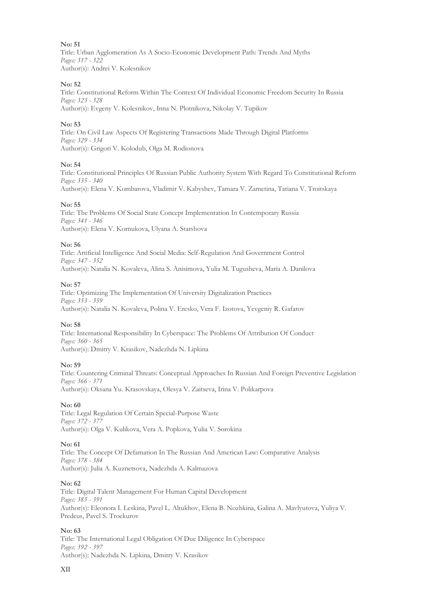Title: Urban Agglomeration As A Socio-Economic Development Path: Trends And Myths *Pages: 317 - 322* Author(s): Andrei V. Kolesnikov

#### **No: 52**

Title: Constitutional Reform Within The Context Of Individual Economic Freedom Security In Russia *Pages: 323 - 328* Author(s): Evgeny V. Kolesnikov, Inna N. Plotnikova, Nikolay V. Tupikov

#### **No: 53**

Title: On Civil Law Aspects Of Registering Transactions Made Through Digital Platforms *Pages: 329 - 334* Author(s): Grigori V. Kolodub, Olga M. Rodionova

#### **No: 54**

Title: Constitutional Principles Of Russian Public Authority System With Regard To Constitutional Reform *Pages: 335 - 340* Author(s): Elena V. Kombarova, Vladimir V. Kabyshev, Tamara V. Zametina, Tatiana V. Troitskaya

#### **No: 55**

Title: The Problems Of Social State Concept Implementation In Contemporary Russia *Pages: 341 - 346* Author(s): Elena V. Kornukova, Ulyana A. Starshova

#### **No: 56**

Title: Artificial Intelligence And Social Media: Self-Regulation And Government Control *Pages: 347 - 352* Author(s): Natalia N. Kovaleva, Alina S. Anisimova, Yulia M. Tugusheva, Maria A. Danilova

#### **No: 57**

Title: Optimizing The Implementation Of University Digitalization Practices *Pages: 353 - 359* Author(s): Natalia N. Kovaleva, Polina V. Eresko, Vera F. Izotova, Yevgeniy R. Gafarov

#### **No: 58**

Title: International Responsibility In Cyberspace: The Problems Of Attribution Of Conduct *Pages: 360 - 365* Author(s): Dmitry V. Krasikov, Nadezhda N. Lipkina

#### **No: 59**

Title: Countering Criminal Threats: Conceptual Approaches In Russian And Foreign Preventive Legislation *Pages: 366 - 371* Author(s): Oksana Yu. Krasovskaya, Olesya V. Zaitseva, Irina V. Polikarpova

#### **No: 60**

Title: Legal Regulation Of Certain Special-Purpose Waste *Pages: 372 - 377* Author(s): Olga V. Kulikova, Vera A. Popkova, Yulia V. Sorokina

#### **No: 61**

Title: The Concept Of Defamation In The Russian And American Law: Comparative Analysis *Pages: 378 - 384* Author(s): Julia A. Kuznetsova, Nadezhda A. Kalmazova

#### **No: 62**

Title: Digital Talent Management For Human Capital Development *Pages: 385 - 391* Author(s): Eleonora I. Leskina, Pavel L. Altukhov, Elena B. Nozhkina, Galina A. Mavlyutova, Yuliya V. Predeus, Pavel S. Troekurov

#### **No: 63**

Title: The International Legal Obligation Of Due Diligence In Cyberspace *Pages: 392 - 397* Author(s): Nadezhda N. Lipkina, Dmitry V. Krasikov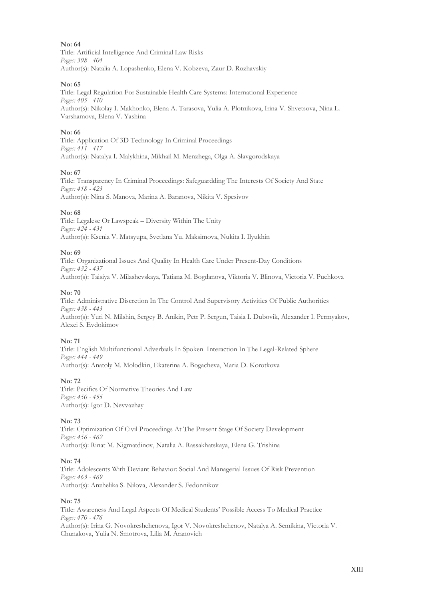Title: Artificial Intelligence And Criminal Law Risks *Pages: 398 - 404* Author(s): Natalia A. Lopashenko, Elena V. Kobzeva, Zaur D. Rozhavskiy

#### **No: 65**

Title: Legal Regulation For Sustainable Health Care Systems: International Experience *Pages: 405 - 410* Author(s): Nikolay I. Makhonko, Elena A. Tarasova, Yulia A. Plotnikova, Irina V. Shvetsova, Nina L. Varshamova, Elena V. Yashina

#### **No: 66**

Title: Application Of 3D Technology In Criminal Proceedings *Pages: 411 - 417* Author(s): Natalya I. Malykhina, Mikhail M. Menzhega, Olga A. Slavgorodskaya

#### **No: 67**

Title: Transparency In Criminal Proceedings: Safeguardding The Interests Of Society And State *Pages: 418 - 423* Author(s): Nina S. Manova, Marina A. Baranova, Nikita V. Spesivov

#### **No: 68**

Title: Legalese Or Lawspeak – Diversity Within The Unity *Pages: 424 - 431* Author(s): Ksenia V. Matsyupa, Svetlana Yu. Maksimova, Nukita I. Ilyukhin

#### **No: 69**

Title: Organizational Issues And Quality In Health Care Under Present-Day Conditions *Pages: 432 - 437* Author(s): Taisiya V. Milashevskaya, Tatiana M. Bogdanova, Viktoria V. Blinova, Victoria V. Puchkova

#### **No: 70**

Title: Administrative Discretion In The Control And Supervisory Activities Of Public Authorities *Pages: 438 - 443* Author(s): Yuri N. Milshin, Sergey B. Anikin, Petr P. Sergun, Taisia I. Dubovik, Alexander I. Permyakov, Alexei S. Evdokimov

#### **No: 71**

Title: English Multifunctional Adverbials In Spoken Interaction In The Legal-Related Sphere *Pages: 444 - 449* Author(s): Аnatoly M. Molodkin, Ekaterina A. Bogacheva, Maria D. Korotkova

#### **No: 72**

Title: Pecifics Of Normative Theories And Law *Pages: 450 - 455* Author(s): Igor D. Nevvazhay

#### **No: 73**

Title: Optimization Of Civil Proceedings At The Present Stage Of Society Development *Pages: 456 - 462* Author(s): Rinat M. Nigmatdinov, Natalia A. Rassakhatskaya, Elena G. Trishina

#### **No: 74**

Title: Adolescents With Deviant Behavior: Social And Managerial Issues Of Risk Prevention *Pages: 463 - 469* Author(s): Anzhelika S. Nilova, Alexander S. Fedonnikov

#### **No: 75**

Title: Awareness And Legal Aspects Of Medical Students' Possible Access To Medical Practice *Pages: 470 - 476* Author(s): Irina G. Novokreshchenova, Igor V. Novokreshchenov, Natalya A. Semikina, Victoria V. Chunakova, Yulia N. Smotrova, Lilia M. Aranovich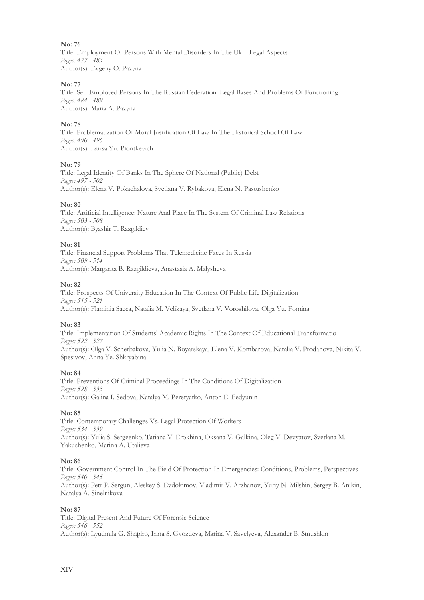Title: Employment Of Persons With Mental Disorders In The Uk – Legal Aspects *Pages: 477 - 483* Author(s): Evgeny О. Pazyna

#### **No: 77**

Title: Self-Employed Persons In The Russian Federation: Legal Bases And Problems Of Functioning *Pages: 484 - 489* Author(s): Maria A. Pazyna

#### **No: 78**

Title: Problematization Of Moral Justification Of Law In The Historical School Of Law *Pages: 490 - 496* Author(s): Larisa Yu. Piontkevich

#### **No: 79**

Title: Legal Identity Of Banks In The Sphere Of National (Public) Debt *Pages: 497 - 502* Author(s): Elena V. Pokachalova, Svetlana V. Rybakova, Elena N. Pastushenko

#### **No: 80**

Title: Artificial Intelligence: Nature And Place In The System Of Criminal Law Relations *Pages: 503 - 508* Author(s): Byashir T. Razgildiev

#### **No: 81**

Title: Financial Support Problems That Telemedicine Faces In Russia *Pages: 509 - 514* Author(s): Margarita B. Razgildieva, Anastasia A. Malysheva

#### **No: 82**

Title: Prospects Of University Education In The Context Of Public Life Digitalization *Pages: 515 - 521* Author(s): Flaminia Sacca, Natalia M. Velikaya, Svetlana V. Voroshilova, Olga Yu. Fomina

#### **No: 83**

Title: Implementation Of Students' Academic Rights In The Context Of Educational Transformatio *Pages: 522 - 527* Author(s): Olga V. Scherbakova, Yulia N. Boyarskaya, Elena V. Kombarova, Natalia V. Prodanova, Nikita V. Spesivov, Anna Ye. Shkryabina

#### **No: 84**

Title: Preventions Of Criminal Proceedings In The Conditions Of Digitalization *Pages: 528 - 533* Author(s): Galina I. Sedova, Natalya M. Peretyatko, Anton E. Fedyunin

#### **No: 85**

Title: Contemporary Challenges Vs. Legal Protection Of Workers *Pages: 534 - 539* Author(s): Yulia S. Sergeenko, Tatiana V. Erokhina, Oksana V. Galkina, Oleg V. Devyatov, Svetlana M. Yakushenko, Marina A. Utalieva

#### **No: 86**

Title: Government Control In The Field Of Protection In Emergencies: Conditions, Problems, Perspectives *Pages: 540 - 545* Author(s): Petr P. Sergun, Aleskey S. Evdokimov, Vladimir V. Arzhanov, Yuriy N. Milshin, Sergey B. Anikin, Natalya A. Sinelnikova

#### **No: 87**

Title: Digital Present And Future Of Forensic Science *Pages: 546 - 552* Author(s): Lyudmila G. Shapiro, Irina S. Gvozdeva, Marina V. Savelyeva, Alexander B. Smushkin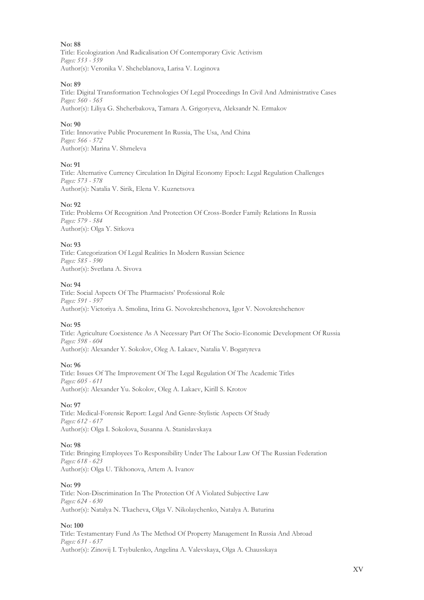Title: Ecologization And Radicalisation Of Contemporary Civic Activism *Pages: 553 - 559* Author(s): Veronika V. Shcheblanova, Larisa V. Loginova

#### **No: 89**

Title: Digital Transformation Technologies Of Legal Proceedings In Civil And Administrative Cases *Pages: 560 - 565* Author(s): Liliya G. Shcherbakova, Tamara A. Grigoryeva, Aleksandr N. Ermakov

#### **No: 90**

Title: Innovative Public Procurement In Russia, The Usa, And China *Pages: 566 - 572* Author(s): Marina V. Shmeleva

#### **No: 91**

Title: Alternative Currency Circulation In Digital Economy Epoch: Legal Regulation Challenges *Pages: 573 - 578* Author(s): Natalia V. Sirik, Elena V. Kuznetsova

#### **No: 92**

Title: Problems Of Recognition And Protection Of Cross-Border Family Relations In Russia *Pages: 579 - 584* Author(s): Olga Y. Sitkova

#### **No: 93**

Title: Categorization Of Legal Realities In Modern Russian Science *Pages: 585 - 590* Author(s): Svetlana A. Sivova

#### **No: 94**

Title: Social Aspects Of The Pharmacists' Professional Role *Pages: 591 - 597* Author(s): Victoriya A. Smolina, Irina G. Novokreshchenova, Igor V. Novokreshchenov

#### **No: 95**

Title: Agriculture Coexistence As A Necessary Part Of The Socio-Economic Development Of Russia *Pages: 598 - 604* Author(s): Alexander Y. Sokolov, Oleg A. Lakaev, Natalia V. Bogatyreva

#### **No: 96**

Title: Issues Of The Improvement Of The Legal Regulation Of The Academic Titles *Pages: 605 - 611* Author(s): Alexander Yu. Sokolov, Oleg A. Lakaev, Kirill S. Krotov

#### **No: 97**

Title: Medical-Forensic Report: Legal And Genre-Stylistic Aspects Of Study *Pages: 612 - 617* Author(s): Olga I. Sokolova, Susanna A. Stanislavskaya

#### **No: 98**

Title: Bringing Employees To Responsibility Under The Labour Law Of The Russian Federation *Pages: 618 - 623* Author(s): Olga U. Tikhonova, Artem A. Ivanov

#### **No: 99**

Title: Non-Discrimination In The Protection Of A Violated Subjective Law *Pages: 624 - 630* Author(s): Natalya N. Tkacheva, Olga V. Nikolaychenko, Natalya A. Baturina

#### **No: 100**

Title: Testamentary Fund As The Method Of Property Management In Russia And Abroad *Pages: 631 - 637* Author(s): Zinovij I. Tsybulenko, Angelina A. Valevskaya, Olga A. Chausskaya